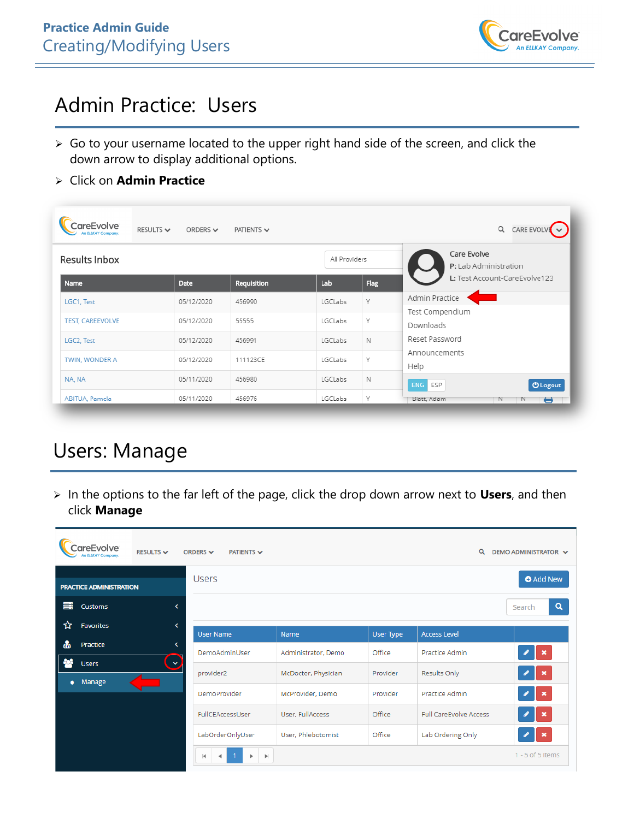

### Admin Practice: Users

- ➢ Go to your username located to the upper right hand side of the screen, and click the down arrow to display additional options.
- ➢ Click on **Admin Practice**

| areEvolve<br>An ELIKAY Company | RESULTS $\sim$<br>ORDERS $\vee$ | PATIENTS $\smile$ |         |                                      | Q<br><b>CARE EVOLVI</b>              |
|--------------------------------|---------------------------------|-------------------|---------|--------------------------------------|--------------------------------------|
| Results Inbox                  |                                 | All Providers     |         | Care Evolve<br>P: Lab Administration |                                      |
| <b>Name</b>                    | Date                            | Requisition       | Lab     | Flag                                 | L: Test Account-CareEvolve123        |
| LGC1, Test                     | 05/12/2020                      | 456990            | LGCLabs | Υ                                    | Admin Practice                       |
| TEST, CAREEVOLVE               | 05/12/2020                      | 55555             | LGCLabs | Υ                                    | Test Compendium<br>Downloads         |
| LGC2, Test                     | 05/12/2020                      | 456991            | LGCLabs | $\mathbb N$                          | Reset Password                       |
| TWIN, WONDER A                 | 05/12/2020                      | 111123CE          | LGCLabs | Υ                                    | Announcements<br>Help                |
| NA, NA                         | 05/11/2020                      | 456980            | LGCLabs | N                                    | <b>ENG</b><br><b>U</b> Logout<br>ESP |
| ABITUA, Pamela                 | 05/11/2020                      | 456976            | LGCLabs | Υ                                    | Blatt, Adam<br>N<br>N<br>۳           |

# Users: Manage

➢ In the options to the far left of the page, click the drop down arrow next to **Users**, and then click **Manage**

| areEvolve<br>An ELLKAY Company | <b>RESULTS ↓</b> | ORDERS $\vee$<br><b>PATIENTS V</b>      |                     |                  | $\alpha$                      | DEMO ADMINISTRATOR V      |
|--------------------------------|------------------|-----------------------------------------|---------------------|------------------|-------------------------------|---------------------------|
| <b>PRACTICE ADMINISTRATION</b> |                  | <b>Users</b>                            |                     |                  |                               | <b>O</b> Add New          |
| 国<br><b>Customs</b>            | ≺                |                                         |                     |                  |                               | Q<br>Search               |
| Favorites<br>☆                 | K.               | <b>User Name</b>                        | <b>Name</b>         | <b>User Type</b> | <b>Access Level</b>           |                           |
| Practice                       | k.               | DemoAdminUser                           | Administrator, Demo | Office           | Practice Admin                | $\boldsymbol{\mathsf{x}}$ |
| <b>Users</b><br>Manage<br>۰    | $\checkmark$     | provider2                               | McDoctor, Physician | Provider         | Results Only                  | $\mathbf x$               |
|                                |                  | <b>DemoProvider</b>                     | McProvider, Demo    | Provider         | Practice Admin                | $\pmb{\times}$            |
|                                |                  | FullCEAccessUser                        | User, FullAccess    | Office           | <b>Full CareEvolve Access</b> | $\mathbf x$               |
|                                |                  | LabOrderOnlyUser                        | User, Phlebotomist  | Office           | Lab Ordering Only             | $\boldsymbol{\mathsf{x}}$ |
|                                |                  | $\left\vert \mathbf{b}\right\vert$<br>м |                     |                  |                               | $1 - 5$ of 5 items        |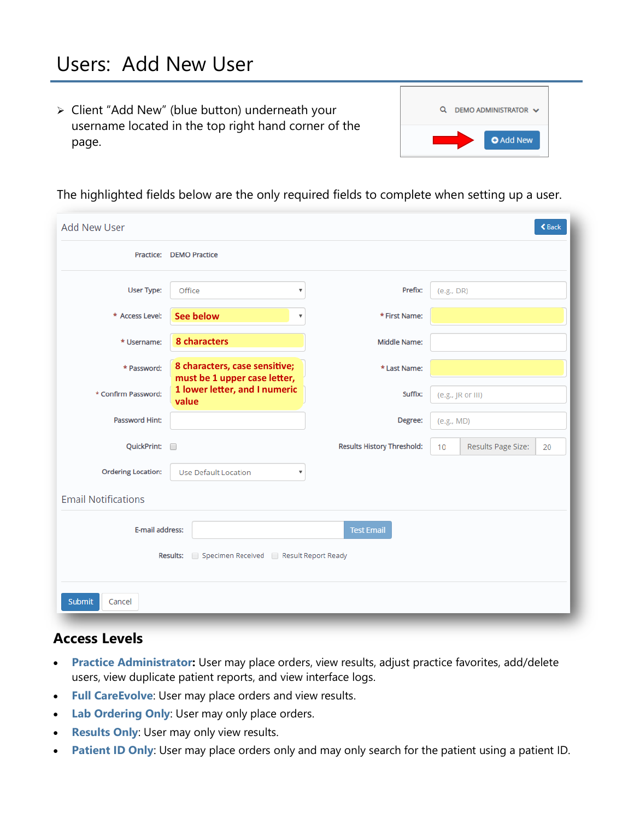➢ Client "Add New" (blue button) underneath your username located in the top right hand corner of the page.



The highlighted fields below are the only required fields to complete when setting up a user.

| <b>Add New User</b>                                                                    |                                                               |                                   | <b>くBack</b>                   |  |  |  |
|----------------------------------------------------------------------------------------|---------------------------------------------------------------|-----------------------------------|--------------------------------|--|--|--|
|                                                                                        | Practice: DEMO Practice                                       |                                   |                                |  |  |  |
| User Type:                                                                             | Office<br>۳.                                                  | Prefix:                           | (e.g., DR)                     |  |  |  |
| * Access Level:                                                                        | <b>See below</b><br>$\overline{\mathbf{v}}$                   | * First Name:                     |                                |  |  |  |
| * Username:                                                                            | 8 characters                                                  | <b>Middle Name:</b>               |                                |  |  |  |
| * Password:                                                                            | 8 characters, case sensitive;<br>must be 1 upper case letter, | * Last Name:                      |                                |  |  |  |
| * Confirm Password:                                                                    | 1 lower letter, and I numeric<br>value                        | Suffix:                           | (e.g., JR or III)              |  |  |  |
| <b>Password Hint:</b>                                                                  |                                                               | Degree:                           | (e.g., MD)                     |  |  |  |
| QuickPrint:                                                                            |                                                               | <b>Results History Threshold:</b> | Results Page Size:<br>10<br>20 |  |  |  |
| <b>Ordering Location:</b>                                                              | <b>Use Default Location</b><br>$\boldsymbol{\mathrm{v}}$      |                                   |                                |  |  |  |
| <b>Email Notifications</b>                                                             |                                                               |                                   |                                |  |  |  |
| E-mail address:<br><b>Test Email</b><br>Results: Specimen Received Result Report Ready |                                                               |                                   |                                |  |  |  |
| Submit<br>Cancel                                                                       |                                                               |                                   |                                |  |  |  |

### **Access Levels**

- **Practice Administrator:** User may place orders, view results, adjust practice favorites, add/delete users, view duplicate patient reports, and view interface logs.
- **Full CareEvolve**: User may place orders and view results.
- **Lab Ordering Only**: User may only place orders.
- **Results Only**: User may only view results.
- **Patient ID Only**: User may place orders only and may only search for the patient using a patient ID.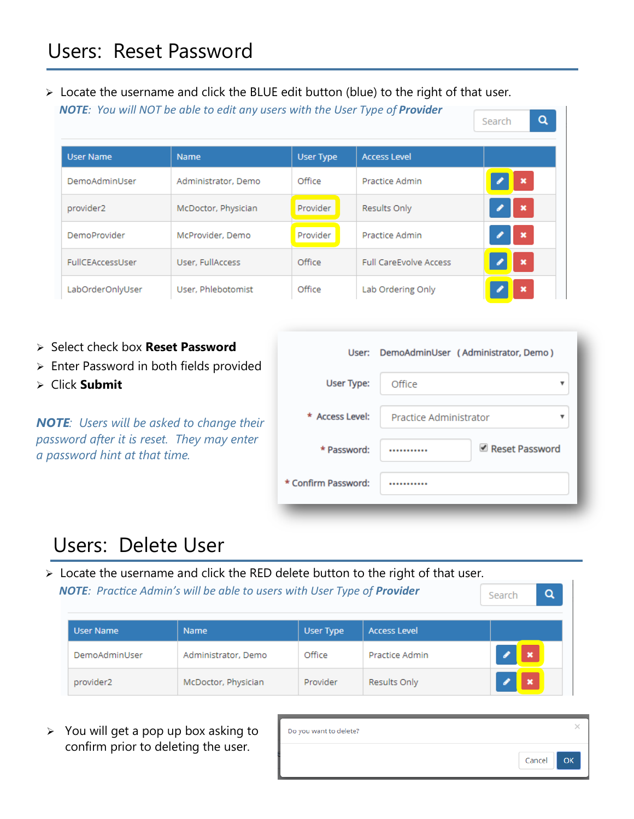➢ Locate the username and click the BLUE edit button (blue) to the right of that user. *NOTE: You will NOT be able to edit any users with the User Type of Provider* Search

| <b>User Name</b>    | <b>Name</b>         | <b>User Type</b> | <b>Access Level</b>           |             |
|---------------------|---------------------|------------------|-------------------------------|-------------|
| DemoAdminUser       | Administrator, Demo | Office           | Practice Admin                | $\mathbf x$ |
| provider2           | McDoctor, Physician | Provider         | Results Only                  | $\mathbf x$ |
| <b>DemoProvider</b> | McProvider, Demo    | Provider         | Practice Admin                | $\mathbf x$ |
| FullCEAccessUser    | User, FullAccess    | Office           | <b>Full CareEvolve Access</b> | $\mathbf x$ |
| LabOrderOnlyUser    | User, Phlebotomist  | Office           | Lab Ordering Only             | ×           |

- ➢ Select check box **Reset Password**
- ➢ Enter Password in both fields provided
- ➢ Click **Submit**

*NOTE: Users will be asked to change their password after it is reset. They may enter a password hint at that time.*

|                   | User: DemoAdminUser (Administrator, Demo) |
|-------------------|-------------------------------------------|
| User Type:        | Office                                    |
| * Access Level:   | Practice Administrator                    |
| * Password:       | Reset Password                            |
| Confirm Password: |                                           |
|                   |                                           |

 $\alpha$ 

Q

## Users: Delete User

➢ Locate the username and click the RED delete button to the right of that user.  *NOTE: Practice Admin's will be able to users with User Type of Provider* Search

| User Name     | <b>Name</b>         | User Type | <b>Access Level</b> |          |
|---------------|---------------------|-----------|---------------------|----------|
| DemoAdminUser | Administrator, Demo | Office    | Practice Admin      | <b>X</b> |
| provider2     | McDoctor, Physician | Provider  | Results Only        | - 33     |

➢ You will get a pop up box asking to confirm prior to deleting the user.

| Do you want to delete? |        |    |
|------------------------|--------|----|
|                        | Cancel | OK |